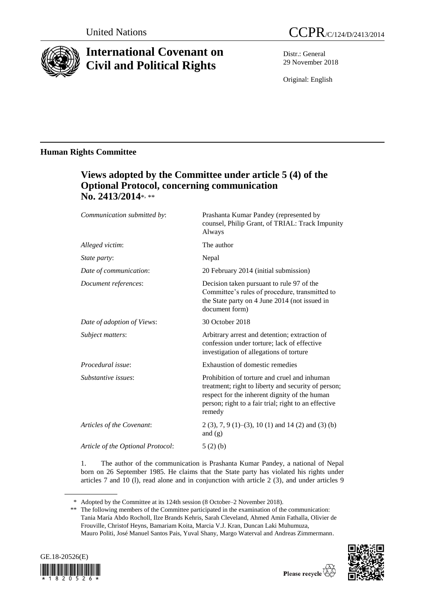

# **International Covenant on Civil and Political Rights**

Distr.: General 29 November 2018

Original: English

# **Human Rights Committee**

# **Views adopted by the Committee under article 5 (4) of the Optional Protocol, concerning communication No. 2413/2014**\* , \*\*

| Communication submitted by:       | Prashanta Kumar Pandey (represented by<br>counsel, Philip Grant, of TRIAL: Track Impunity<br>Always                                                                                                                    |
|-----------------------------------|------------------------------------------------------------------------------------------------------------------------------------------------------------------------------------------------------------------------|
| Alleged victim:                   | The author                                                                                                                                                                                                             |
| State party:                      | Nepal                                                                                                                                                                                                                  |
| Date of communication:            | 20 February 2014 (initial submission)                                                                                                                                                                                  |
| Document references:              | Decision taken pursuant to rule 97 of the<br>Committee's rules of procedure, transmitted to<br>the State party on 4 June 2014 (not issued in<br>document form)                                                         |
| Date of adoption of Views:        | 30 October 2018                                                                                                                                                                                                        |
| <i>Subject matters:</i>           | Arbitrary arrest and detention; extraction of<br>confession under torture; lack of effective<br>investigation of allegations of torture                                                                                |
| Procedural issue:                 | Exhaustion of domestic remedies                                                                                                                                                                                        |
| Substantive issues:               | Prohibition of torture and cruel and inhuman<br>treatment; right to liberty and security of person;<br>respect for the inherent dignity of the human<br>person; right to a fair trial; right to an effective<br>remedy |
| Articles of the Covenant:         | $2(3)$ , 7, 9 (1)–(3), 10 (1) and 14 (2) and (3) (b)<br>and $(g)$                                                                                                                                                      |
| Article of the Optional Protocol: | 5(2)(b)                                                                                                                                                                                                                |
|                                   |                                                                                                                                                                                                                        |

1. The author of the communication is Prashanta Kumar Pandey, a national of Nepal born on 26 September 1985. He claims that the State party has violated his rights under articles 7 and 10 (l), read alone and in conjunction with article 2 (3), and under articles 9

<sup>\*\*</sup> The following members of the Committee participated in the examination of the communication: Tania María Abdo Rocholl, Ilze Brands Kehris, Sarah Cleveland, Ahmed Amin Fathalla, Olivier de Frouville, Christof Heyns, Bamariam Koita, Marcia V.J. Kran, Duncan Laki Muhumuza, Mauro Politi, José Manuel Santos Pais, Yuval Shany, Margo Waterval and Andreas Zimmermann.



<sup>\*</sup> Adopted by the Committee at its 124th session (8 October–2 November 2018).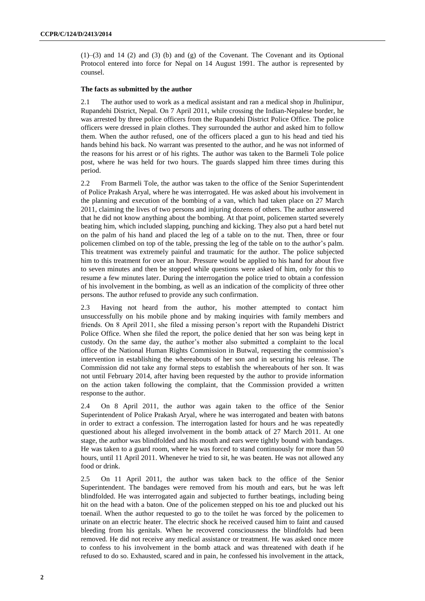$(1)$ – $(3)$  and  $14$   $(2)$  and  $(3)$   $(b)$  and  $(g)$  of the Covenant. The Covenant and its Optional Protocol entered into force for Nepal on 14 August 1991. The author is represented by counsel.

# **The facts as submitted by the author**

2.1 The author used to work as a medical assistant and ran a medical shop in Jhulinipur, Rupandehi District, Nepal. On 7 April 2011, while crossing the Indian-Nepalese border, he was arrested by three police officers from the Rupandehi District Police Office. The police officers were dressed in plain clothes. They surrounded the author and asked him to follow them. When the author refused, one of the officers placed a gun to his head and tied his hands behind his back. No warrant was presented to the author, and he was not informed of the reasons for his arrest or of his rights. The author was taken to the Barmeli Tole police post, where he was held for two hours. The guards slapped him three times during this period.

2.2 From Barmeli Tole, the author was taken to the office of the Senior Superintendent of Police Prakash Aryal, where he was interrogated. He was asked about his involvement in the planning and execution of the bombing of a van, which had taken place on 27 March 2011, claiming the lives of two persons and injuring dozens of others. The author answered that he did not know anything about the bombing. At that point, policemen started severely beating him, which included slapping, punching and kicking. They also put a hard betel nut on the palm of his hand and placed the leg of a table on to the nut. Then, three or four policemen climbed on top of the table, pressing the leg of the table on to the author's palm. This treatment was extremely painful and traumatic for the author. The police subjected him to this treatment for over an hour. Pressure would be applied to his hand for about five to seven minutes and then be stopped while questions were asked of him, only for this to resume a few minutes later. During the interrogation the police tried to obtain a confession of his involvement in the bombing, as well as an indication of the complicity of three other persons. The author refused to provide any such confirmation.

2.3 Having not heard from the author, his mother attempted to contact him unsuccessfully on his mobile phone and by making inquiries with family members and friends. On 8 April 2011, she filed a missing person's report with the Rupandehi District Police Office. When she filed the report, the police denied that her son was being kept in custody. On the same day, the author's mother also submitted a complaint to the local office of the National Human Rights Commission in Butwal, requesting the commission's intervention in establishing the whereabouts of her son and in securing his release. The Commission did not take any formal steps to establish the whereabouts of her son. It was not until February 2014, after having been requested by the author to provide information on the action taken following the complaint, that the Commission provided a written response to the author.

2.4 On 8 April 2011, the author was again taken to the office of the Senior Superintendent of Police Prakash Aryal, where he was interrogated and beaten with batons in order to extract a confession. The interrogation lasted for hours and he was repeatedly questioned about his alleged involvement in the bomb attack of 27 March 2011. At one stage, the author was blindfolded and his mouth and ears were tightly bound with bandages. He was taken to a guard room, where he was forced to stand continuously for more than 50 hours, until 11 April 2011. Whenever he tried to sit, he was beaten. He was not allowed any food or drink.

2.5 On 11 April 2011, the author was taken back to the office of the Senior Superintendent. The bandages were removed from his mouth and ears, but he was left blindfolded. He was interrogated again and subjected to further beatings, including being hit on the head with a baton. One of the policemen stepped on his toe and plucked out his toenail. When the author requested to go to the toilet he was forced by the policemen to urinate on an electric heater. The electric shock he received caused him to faint and caused bleeding from his genitals. When he recovered consciousness the blindfolds had been removed. He did not receive any medical assistance or treatment. He was asked once more to confess to his involvement in the bomb attack and was threatened with death if he refused to do so. Exhausted, scared and in pain, he confessed his involvement in the attack,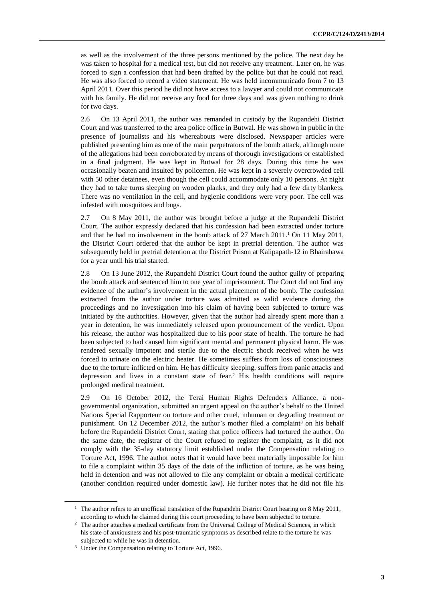as well as the involvement of the three persons mentioned by the police. The next day he was taken to hospital for a medical test, but did not receive any treatment. Later on, he was forced to sign a confession that had been drafted by the police but that he could not read. He was also forced to record a video statement. He was held incommunicado from 7 to 13 April 2011. Over this period he did not have access to a lawyer and could not communicate with his family. He did not receive any food for three days and was given nothing to drink for two days.

2.6 On 13 April 2011, the author was remanded in custody by the Rupandehi District Court and was transferred to the area police office in Butwal. He was shown in public in the presence of journalists and his whereabouts were disclosed. Newspaper articles were published presenting him as one of the main perpetrators of the bomb attack, although none of the allegations had been corroborated by means of thorough investigations or established in a final judgment. He was kept in Butwal for 28 days. During this time he was occasionally beaten and insulted by policemen. He was kept in a severely overcrowded cell with 50 other detainees, even though the cell could accommodate only 10 persons. At night they had to take turns sleeping on wooden planks, and they only had a few dirty blankets. There was no ventilation in the cell, and hygienic conditions were very poor. The cell was infested with mosquitoes and bugs.

2.7 On 8 May 2011, the author was brought before a judge at the Rupandehi District Court. The author expressly declared that his confession had been extracted under torture and that he had no involvement in the bomb attack of 27 March 2011. <sup>1</sup> On 11 May 2011, the District Court ordered that the author be kept in pretrial detention. The author was subsequently held in pretrial detention at the District Prison at Kalipapath-12 in Bhairahawa for a year until his trial started.

2.8 On 13 June 2012, the Rupandehi District Court found the author guilty of preparing the bomb attack and sentenced him to one year of imprisonment. The Court did not find any evidence of the author's involvement in the actual placement of the bomb. The confession extracted from the author under torture was admitted as valid evidence during the proceedings and no investigation into his claim of having been subjected to torture was initiated by the authorities. However, given that the author had already spent more than a year in detention, he was immediately released upon pronouncement of the verdict. Upon his release, the author was hospitalized due to his poor state of health. The torture he had been subjected to had caused him significant mental and permanent physical harm. He was rendered sexually impotent and sterile due to the electric shock received when he was forced to urinate on the electric heater. He sometimes suffers from loss of consciousness due to the torture inflicted on him. He has difficulty sleeping, suffers from panic attacks and depression and lives in a constant state of fear. <sup>2</sup> His health conditions will require prolonged medical treatment.

2.9 On 16 October 2012, the Terai Human Rights Defenders Alliance, a nongovernmental organization, submitted an urgent appeal on the author's behalf to the United Nations Special Rapporteur on torture and other cruel, inhuman or degrading treatment or punishment. On 12 December 2012, the author's mother filed a complaint<sup>3</sup> on his behalf before the Rupandehi District Court, stating that police officers had tortured the author. On the same date, the registrar of the Court refused to register the complaint, as it did not comply with the 35-day statutory limit established under the Compensation relating to Torture Act, 1996. The author notes that it would have been materially impossible for him to file a complaint within 35 days of the date of the infliction of torture, as he was being held in detention and was not allowed to file any complaint or obtain a medical certificate (another condition required under domestic law). He further notes that he did not file his

<sup>&</sup>lt;sup>1</sup> The author refers to an unofficial translation of the Rupandehi District Court hearing on 8 May 2011, according to which he claimed during this court proceeding to have been subjected to torture.

<sup>&</sup>lt;sup>2</sup> The author attaches a medical certificate from the Universal College of Medical Sciences, in which his state of anxiousness and his post-traumatic symptoms as described relate to the torture he was subjected to while he was in detention.

<sup>&</sup>lt;sup>3</sup> Under the Compensation relating to Torture Act, 1996.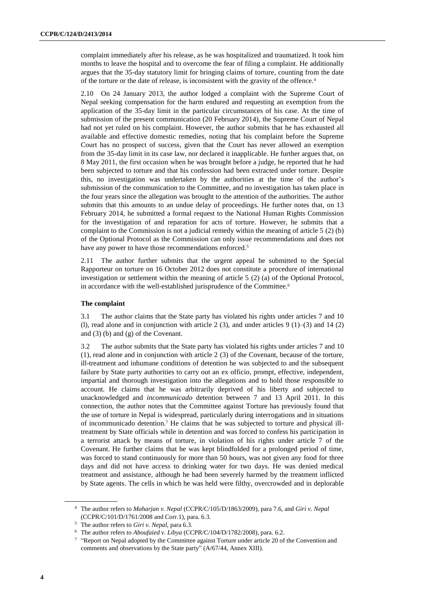complaint immediately after his release, as he was hospitalized and traumatized. It took him months to leave the hospital and to overcome the fear of filing a complaint. He additionally argues that the 35-day statutory limit for bringing claims of torture, counting from the date of the torture or the date of release, is inconsistent with the gravity of the offence. 4

2.10 On 24 January 2013, the author lodged a complaint with the Supreme Court of Nepal seeking compensation for the harm endured and requesting an exemption from the application of the 35-day limit in the particular circumstances of his case. At the time of submission of the present communication (20 February 2014), the Supreme Court of Nepal had not yet ruled on his complaint. However, the author submits that he has exhausted all available and effective domestic remedies, noting that his complaint before the Supreme Court has no prospect of success, given that the Court has never allowed an exemption from the 35-day limit in its case law, nor declared it inapplicable. He further argues that, on 8 May 2011, the first occasion when he was brought before a judge, he reported that he had been subjected to torture and that his confession had been extracted under torture. Despite this, no investigation was undertaken by the authorities at the time of the author's submission of the communication to the Committee, and no investigation has taken place in the four years since the allegation was brought to the attention of the authorities. The author submits that this amounts to an undue delay of proceedings. He further notes that, on 13 February 2014, he submitted a formal request to the National Human Rights Commission for the investigation of and reparation for acts of torture. However, he submits that a complaint to the Commission is not a judicial remedy within the meaning of article 5 (2) (b) of the Optional Protocol as the Commission can only issue recommendations and does not have any power to have those recommendations enforced.<sup>5</sup>

2.11 The author further submits that the urgent appeal he submitted to the Special Rapporteur on torture on 16 October 2012 does not constitute a procedure of international investigation or settlement within the meaning of article 5 (2) (a) of the Optional Protocol, in accordance with the well-established jurisprudence of the Committee.<sup>6</sup>

# **The complaint**

3.1 The author claims that the State party has violated his rights under articles 7 and 10 (1), read alone and in conjunction with article 2 (3), and under articles 9 (1)–(3) and 14 (2) and (3) (b) and (g) of the Covenant.

3.2 The author submits that the State party has violated his rights under articles 7 and 10 (1), read alone and in conjunction with article 2 (3) of the Covenant, because of the torture, ill-treatment and inhumane conditions of detention he was subjected to and the subsequent failure by State party authorities to carry out an ex officio, prompt, effective, independent, impartial and thorough investigation into the allegations and to hold those responsible to account. He claims that he was arbitrarily deprived of his liberty and subjected to unacknowledged and *incommunicado* detention between 7 and 13 April 2011. In this connection, the author notes that the Committee against Torture has previously found that the use of torture in Nepal is widespread, particularly during interrogations and in situations of incommunicado detention.<sup>7</sup> He claims that he was subjected to torture and physical illtreatment by State officials while in detention and was forced to confess his participation in a terrorist attack by means of torture, in violation of his rights under article 7 of the Covenant. He further claims that he was kept blindfolded for a prolonged period of time, was forced to stand continuously for more than 50 hours, was not given any food for three days and did not have access to drinking water for two days. He was denied medical treatment and assistance, although he had been severely harmed by the treatment inflicted by State agents. The cells in which he was held were filthy, overcrowded and in deplorable

<sup>4</sup> The author refers to *Maharjan v. Nepal* (CCPR/C/105/D/1863/2009), para 7.6, and *Giri v. Nepal* (CCPR/C/101/D/1761/2008 and Corr.1), para. 6.3.

<sup>5</sup> The author refers to *Giri v. Nepal*, para 6.3.

<sup>6</sup> The author refers to *Aboufaied v. Libya* (CCPR/C/104/D/1782/2008), para. 6.2.

<sup>&</sup>lt;sup>7</sup> "Report on Nepal adopted by the Committee against Torture under article 20 of the Convention and comments and observations by the State party" (A/67/44, Annex XIII).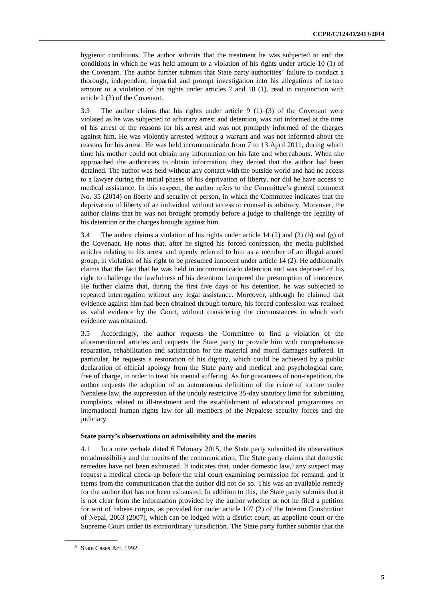hygienic conditions. The author submits that the treatment he was subjected to and the conditions in which he was held amount to a violation of his rights under article 10 (1) of the Covenant. The author further submits that State party authorities' failure to conduct a thorough, independent, impartial and prompt investigation into his allegations of torture amount to a violation of his rights under articles 7 and 10 (1), read in conjunction with article 2 (3) of the Covenant.

3.3 The author claims that his rights under article 9  $(1)$ –(3) of the Covenant were violated as he was subjected to arbitrary arrest and detention, was not informed at the time of his arrest of the reasons for his arrest and was not promptly informed of the charges against him. He was violently arrested without a warrant and was not informed about the reasons for his arrest. He was held incommunicado from 7 to 13 April 2011, during which time his mother could not obtain any information on his fate and whereabouts. When she approached the authorities to obtain information, they denied that the author had been detained. The author was held without any contact with the outside world and had no access to a lawyer during the initial phases of his deprivation of liberty, nor did he have access to medical assistance. In this respect, the author refers to the Committee's general comment No. 35 (2014) on liberty and security of person, in which the Committee indicates that the deprivation of liberty of an individual without access to counsel is arbitrary. Moreover, the author claims that he was not brought promptly before a judge to challenge the legality of his detention or the charges brought against him.

3.4 The author claims a violation of his rights under article 14 (2) and (3) (b) and (g) of the Covenant. He notes that, after he signed his forced confession, the media published articles relating to his arrest and openly referred to him as a member of an illegal armed group, in violation of his right to be presumed innocent under article 14 (2). He additionally claims that the fact that he was held in incommunicado detention and was deprived of his right to challenge the lawfulness of his detention hampered the presumption of innocence. He further claims that, during the first five days of his detention, he was subjected to repeated interrogation without any legal assistance. Moreover, although he claimed that evidence against him had been obtained through torture, his forced confession was retained as valid evidence by the Court, without considering the circumstances in which such evidence was obtained.

3.5 Accordingly, the author requests the Committee to find a violation of the aforementioned articles and requests the State party to provide him with comprehensive reparation, rehabilitation and satisfaction for the material and moral damages suffered. In particular, he requests a restoration of his dignity, which could be achieved by a public declaration of official apology from the State party and medical and psychological care, free of charge, in order to treat his mental suffering. As for guarantees of non-repetition, the author requests the adoption of an autonomous definition of the crime of torture under Nepalese law, the suppression of the unduly restrictive 35-day statutory limit for submitting complaints related to ill-treatment and the establishment of educational programmes on international human rights law for all members of the Nepalese security forces and the judiciary.

#### **State party's observations on admissibility and the merits**

4.1 In a note verbale dated 6 February 2015, the State party submitted its observations on admissibility and the merits of the communication. The State party claims that domestic remedies have not been exhausted. It indicates that, under domestic law, <sup>8</sup> any suspect may request a medical check-up before the trial court examining permission for remand, and it stems from the communication that the author did not do so. This was an available remedy for the author that has not been exhausted. In addition to this, the State party submits that it is not clear from the information provided by the author whether or not he filed a petition for writ of habeas corpus*,* as provided for under article 107 (2) of the Interim Constitution of Nepal, 2063 (2007), which can be lodged with a district court, an appellate court or the Supreme Court under its extraordinary jurisdiction. The State party further submits that the

<sup>8</sup> State Cases Act, 1992.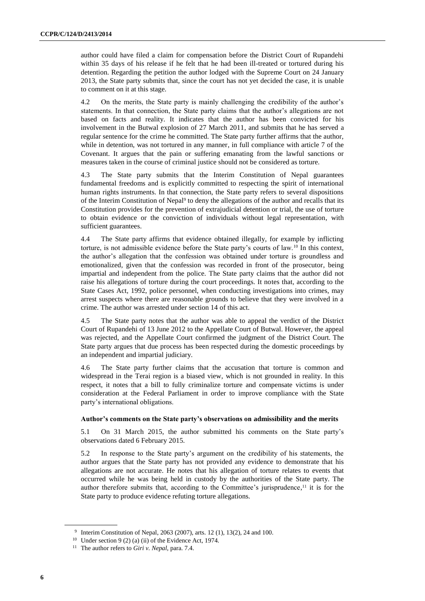author could have filed a claim for compensation before the District Court of Rupandehi within 35 days of his release if he felt that he had been ill-treated or tortured during his detention. Regarding the petition the author lodged with the Supreme Court on 24 January 2013, the State party submits that, since the court has not yet decided the case, it is unable to comment on it at this stage.

4.2 On the merits, the State party is mainly challenging the credibility of the author's statements. In that connection, the State party claims that the author's allegations are not based on facts and reality. It indicates that the author has been convicted for his involvement in the Butwal explosion of 27 March 2011, and submits that he has served a regular sentence for the crime he committed. The State party further affirms that the author, while in detention, was not tortured in any manner, in full compliance with article 7 of the Covenant. It argues that the pain or suffering emanating from the lawful sanctions or measures taken in the course of criminal justice should not be considered as torture.

4.3 The State party submits that the Interim Constitution of Nepal guarantees fundamental freedoms and is explicitly committed to respecting the spirit of international human rights instruments. In that connection, the State party refers to several dispositions of the Interim Constitution of Nepal<sup>9</sup> to deny the allegations of the author and recalls that its Constitution provides for the prevention of extrajudicial detention or trial, the use of torture to obtain evidence or the conviction of individuals without legal representation, with sufficient guarantees.

4.4 The State party affirms that evidence obtained illegally, for example by inflicting torture, is not admissible evidence before the State party's courts of law.<sup>10</sup> In this context, the author's allegation that the confession was obtained under torture is groundless and emotionalized, given that the confession was recorded in front of the prosecutor, being impartial and independent from the police. The State party claims that the author did not raise his allegations of torture during the court proceedings. It notes that, according to the State Cases Act, 1992, police personnel, when conducting investigations into crimes, may arrest suspects where there are reasonable grounds to believe that they were involved in a crime. The author was arrested under section 14 of this act.

4.5 The State party notes that the author was able to appeal the verdict of the District Court of Rupandehi of 13 June 2012 to the Appellate Court of Butwal. However, the appeal was rejected, and the Appellate Court confirmed the judgment of the District Court. The State party argues that due process has been respected during the domestic proceedings by an independent and impartial judiciary.

4.6 The State party further claims that the accusation that torture is common and widespread in the Terai region is a biased view, which is not grounded in reality. In this respect, it notes that a bill to fully criminalize torture and compensate victims is under consideration at the Federal Parliament in order to improve compliance with the State party's international obligations.

# **Author's comments on the State party's observations on admissibility and the merits**

5.1 On 31 March 2015, the author submitted his comments on the State party's observations dated 6 February 2015.

5.2 In response to the State party's argument on the credibility of his statements, the author argues that the State party has not provided any evidence to demonstrate that his allegations are not accurate. He notes that his allegation of torture relates to events that occurred while he was being held in custody by the authorities of the State party. The author therefore submits that, according to the Committee's jurisprudence, $\frac{1}{1}$  it is for the State party to produce evidence refuting torture allegations.

<sup>9</sup> Interim Constitution of Nepal, 2063 (2007), arts. 12 (1), 13(2), 24 and 100.

<sup>&</sup>lt;sup>10</sup> Under section 9 (2) (a) (ii) of the Evidence Act, 1974.

<sup>11</sup> The author refers to *Giri v. Nepal*, para. 7.4.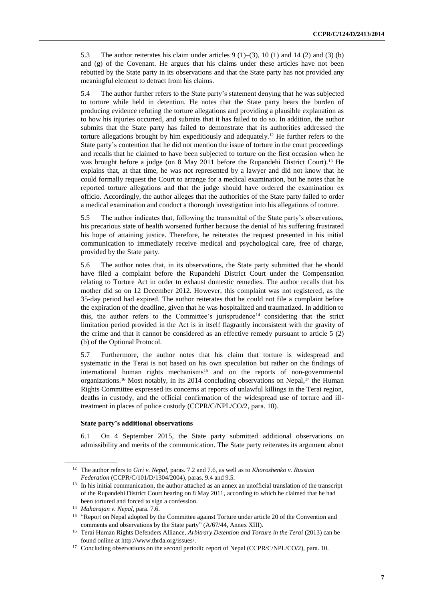5.3 The author reiterates his claim under articles  $9(1)$ –(3), 10 (1) and 14 (2) and (3) (b) and (g) of the Covenant. He argues that his claims under these articles have not been rebutted by the State party in its observations and that the State party has not provided any meaningful element to detract from his claims.

5.4 The author further refers to the State party's statement denying that he was subjected to torture while held in detention. He notes that the State party bears the burden of producing evidence refuting the torture allegations and providing a plausible explanation as to how his injuries occurred, and submits that it has failed to do so. In addition, the author submits that the State party has failed to demonstrate that its authorities addressed the torture allegations brought by him expeditiously and adequately.<sup>12</sup> He further refers to the State party's contention that he did not mention the issue of torture in the court proceedings and recalls that he claimed to have been subjected to torture on the first occasion when he was brought before a judge (on 8 May 2011 before the Rupandehi District Court).<sup>13</sup> He explains that, at that time, he was not represented by a lawyer and did not know that he could formally request the Court to arrange for a medical examination, but he notes that he reported torture allegations and that the judge should have ordered the examination ex officio*.* Accordingly, the author alleges that the authorities of the State party failed to order a medical examination and conduct a thorough investigation into his allegations of torture.

5.5 The author indicates that, following the transmittal of the State party's observations, his precarious state of health worsened further because the denial of his suffering frustrated his hope of attaining justice. Therefore, he reiterates the request presented in his initial communication to immediately receive medical and psychological care, free of charge, provided by the State party.

5.6 The author notes that, in its observations, the State party submitted that he should have filed a complaint before the Rupandehi District Court under the Compensation relating to Torture Act in order to exhaust domestic remedies. The author recalls that his mother did so on 12 December 2012. However, this complaint was not registered, as the 35-day period had expired. The author reiterates that he could not file a complaint before the expiration of the deadline, given that he was hospitalized and traumatized. In addition to this, the author refers to the Committee's jurisprudence<sup>14</sup> considering that the strict limitation period provided in the Act is in itself flagrantly inconsistent with the gravity of the crime and that it cannot be considered as an effective remedy pursuant to article 5 (2) (b) of the Optional Protocol.

5.7 Furthermore, the author notes that his claim that torture is widespread and systematic in the Terai is not based on his own speculation but rather on the findings of international human rights mechanisms<sup>15</sup> and on the reports of non-governmental organizations.<sup>16</sup> Most notably, in its 2014 concluding observations on Nepal, <sup>17</sup> the Human Rights Committee expressed its concerns at reports of unlawful killings in the Terai region, deaths in custody, and the official confirmation of the widespread use of torture and illtreatment in places of police custody (CCPR/C/NPL/CO/2, para. 10).

# **State party's additional observations**

6.1 On 4 September 2015, the State party submitted additional observations on admissibility and merits of the communication. The State party reiterates its argument about

<sup>12</sup> The author refers to *Giri v. Nepal*, paras. 7.2 and 7.6, as well as to *Khoroshenko v. Russian Federation* (CCPR/C/101/D/1304/2004), paras. 9.4 and 9.5.

<sup>&</sup>lt;sup>13</sup> In his initial communication, the author attached as an annex an unofficial translation of the transcript of the Rupandehi District Court hearing on 8 May 2011, according to which he claimed that he had been tortured and forced to sign a confession.

<sup>14</sup> *Maharajan v. Nepal*, para. 7.6.

<sup>&</sup>lt;sup>15</sup> "Report on Nepal adopted by the Committee against Torture under article 20 of the Convention and comments and observations by the State party" (A/67/44, Annex XIII).

<sup>16</sup> Terai Human Rights Defenders Alliance, *Arbitrary Detention and Torture in the Terai* (2013) can be found online at [http://www.thrda.org/issues/.](http://www.thrda.org/issues/) 

<sup>&</sup>lt;sup>17</sup> Concluding observations on the second periodic report of Nepal (CCPR/C/NPL/CO/2), para. 10.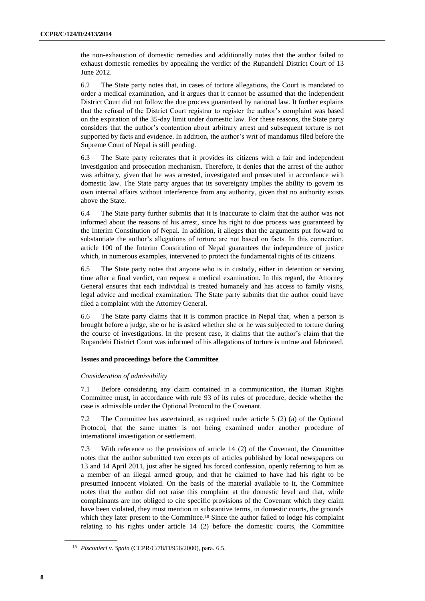the non-exhaustion of domestic remedies and additionally notes that the author failed to exhaust domestic remedies by appealing the verdict of the Rupandehi District Court of 13 June 2012.

6.2 The State party notes that, in cases of torture allegations, the Court is mandated to order a medical examination, and it argues that it cannot be assumed that the independent District Court did not follow the due process guaranteed by national law. It further explains that the refusal of the District Court registrar to register the author's complaint was based on the expiration of the 35-day limit under domestic law. For these reasons, the State party considers that the author's contention about arbitrary arrest and subsequent torture is not supported by facts and evidence. In addition, the author's writ of mandamus filed before the Supreme Court of Nepal is still pending.

6.3 The State party reiterates that it provides its citizens with a fair and independent investigation and prosecution mechanism. Therefore, it denies that the arrest of the author was arbitrary, given that he was arrested, investigated and prosecuted in accordance with domestic law. The State party argues that its sovereignty implies the ability to govern its own internal affairs without interference from any authority, given that no authority exists above the State.

6.4 The State party further submits that it is inaccurate to claim that the author was not informed about the reasons of his arrest, since his right to due process was guaranteed by the Interim Constitution of Nepal. In addition, it alleges that the arguments put forward to substantiate the author's allegations of torture are not based on facts. In this connection, article 100 of the Interim Constitution of Nepal guarantees the independence of justice which, in numerous examples, intervened to protect the fundamental rights of its citizens.

6.5 The State party notes that anyone who is in custody, either in detention or serving time after a final verdict, can request a medical examination. In this regard, the Attorney General ensures that each individual is treated humanely and has access to family visits, legal advice and medical examination. The State party submits that the author could have filed a complaint with the Attorney General.

6.6 The State party claims that it is common practice in Nepal that, when a person is brought before a judge, she or he is asked whether she or he was subjected to torture during the course of investigations. In the present case, it claims that the author's claim that the Rupandehi District Court was informed of his allegations of torture is untrue and fabricated.

# **Issues and proceedings before the Committee**

# *Consideration of admissibility*

7.1 Before considering any claim contained in a communication, the Human Rights Committee must, in accordance with rule 93 of its rules of procedure, decide whether the case is admissible under the Optional Protocol to the Covenant.

7.2 The Committee has ascertained, as required under article 5 (2) (a) of the Optional Protocol, that the same matter is not being examined under another procedure of international investigation or settlement.

7.3 With reference to the provisions of article 14 (2) of the Covenant, the Committee notes that the author submitted two excerpts of articles published by local newspapers on 13 and 14 April 2011, just after he signed his forced confession, openly referring to him as a member of an illegal armed group, and that he claimed to have had his right to be presumed innocent violated. On the basis of the material available to it, the Committee notes that the author did not raise this complaint at the domestic level and that, while complainants are not obliged to cite specific provisions of the Covenant which they claim have been violated, they must mention in substantive terms, in domestic courts, the grounds which they later present to the Committee.<sup>18</sup> Since the author failed to lodge his complaint relating to his rights under article 14 (2) before the domestic courts, the Committee

<sup>18</sup> *Pisconieri v. Spain* (CCPR/C/78/D/956/2000), para. 6.5.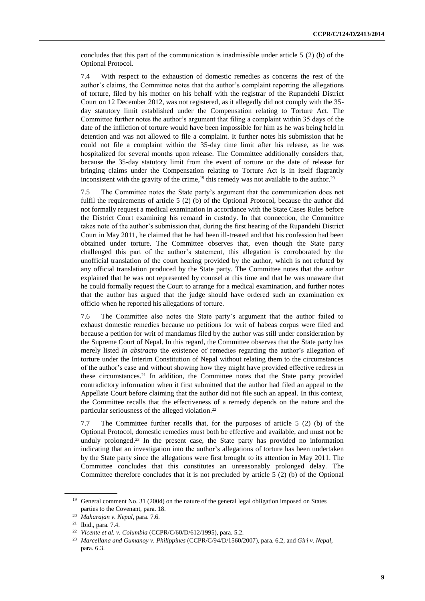concludes that this part of the communication is inadmissible under article 5 (2) (b) of the Optional Protocol.

7.4 With respect to the exhaustion of domestic remedies as concerns the rest of the author's claims, the Committee notes that the author's complaint reporting the allegations of torture, filed by his mother on his behalf with the registrar of the Rupandehi District Court on 12 December 2012, was not registered, as it allegedly did not comply with the 35 day statutory limit established under the Compensation relating to Torture Act. The Committee further notes the author's argument that filing a complaint within 35 days of the date of the infliction of torture would have been impossible for him as he was being held in detention and was not allowed to file a complaint. It further notes his submission that he could not file a complaint within the 35-day time limit after his release, as he was hospitalized for several months upon release. The Committee additionally considers that, because the 35-day statutory limit from the event of torture or the date of release for bringing claims under the Compensation relating to Torture Act is in itself flagrantly inconsistent with the gravity of the crime,<sup>19</sup> this remedy was not available to the author.<sup>20</sup>

7.5 The Committee notes the State party's argument that the communication does not fulfil the requirements of article 5 (2) (b) of the Optional Protocol, because the author did not formally request a medical examination in accordance with the State Cases Rules before the District Court examining his remand in custody. In that connection, the Committee takes note of the author's submission that, during the first hearing of the Rupandehi District Court in May 2011, he claimed that he had been ill-treated and that his confession had been obtained under torture. The Committee observes that, even though the State party challenged this part of the author's statement, this allegation is corroborated by the unofficial translation of the court hearing provided by the author, which is not refuted by any official translation produced by the State party. The Committee notes that the author explained that he was not represented by counsel at this time and that he was unaware that he could formally request the Court to arrange for a medical examination, and further notes that the author has argued that the judge should have ordered such an examination ex officio when he reported his allegations of torture.

7.6 The Committee also notes the State party's argument that the author failed to exhaust domestic remedies because no petitions for writ of habeas corpus were filed and because a petition for writ of mandamus filed by the author was still under consideration by the Supreme Court of Nepal. In this regard, the Committee observes that the State party has merely listed *in abstracto* the existence of remedies regarding the author's allegation of torture under the Interim Constitution of Nepal without relating them to the circumstances of the author's case and without showing how they might have provided effective redress in these circumstances. <sup>21</sup> In addition, the Committee notes that the State party provided contradictory information when it first submitted that the author had filed an appeal to the Appellate Court before claiming that the author did not file such an appeal. In this context, the Committee recalls that the effectiveness of a remedy depends on the nature and the particular seriousness of the alleged violation.<sup>22</sup>

7.7 The Committee further recalls that, for the purposes of article 5 (2) (b) of the Optional Protocol, domestic remedies must both be effective and available, and must not be unduly prolonged. <sup>23</sup> In the present case, the State party has provided no information indicating that an investigation into the author's allegations of torture has been undertaken by the State party since the allegations were first brought to its attention in May 2011. The Committee concludes that this constitutes an unreasonably prolonged delay. The Committee therefore concludes that it is not precluded by article 5 (2) (b) of the Optional

<sup>&</sup>lt;sup>19</sup> General comment No. 31 (2004) on the nature of the general legal obligation imposed on States parties to the Covenant, para. 18.

<sup>20</sup> *Maharajan v. Nepal*, para. 7.6.

<sup>21</sup> Ibid., para. 7.4.

<sup>22</sup> *Vicente et al. v. Columbia* (CCPR/C/60/D/612/1995), para. 5.2.

<sup>23</sup> *Marcellana and Gumanoy v. Philippines* (CCPR/C/94/D/1560/2007), para. 6.2, and *Giri v. Nepal*, para. 6.3.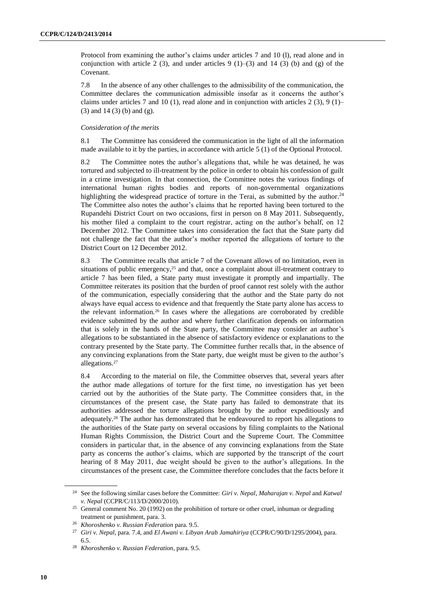Protocol from examining the author's claims under articles 7 and 10 (l), read alone and in conjunction with article 2 (3), and under articles 9 (1)–(3) and 14 (3) (b) and (g) of the Covenant.

7.8 In the absence of any other challenges to the admissibility of the communication, the Committee declares the communication admissible insofar as it concerns the author's claims under articles 7 and 10 (1), read alone and in conjunction with articles 2 (3), 9 (1)– (3) and 14 (3) (b) and (g).

# *Consideration of the merits*

8.1 The Committee has considered the communication in the light of all the information made available to it by the parties, in accordance with article 5 (1) of the Optional Protocol.

8.2 The Committee notes the author's allegations that, while he was detained, he was tortured and subjected to ill-treatment by the police in order to obtain his confession of guilt in a crime investigation. In that connection, the Committee notes the various findings of international human rights bodies and reports of non-governmental organizations highlighting the widespread practice of torture in the Terai, as submitted by the author.<sup>24</sup> The Committee also notes the author's claims that he reported having been tortured to the Rupandehi District Court on two occasions, first in person on 8 May 2011. Subsequently, his mother filed a complaint to the court registrar, acting on the author's behalf, on 12 December 2012. The Committee takes into consideration the fact that the State party did not challenge the fact that the author's mother reported the allegations of torture to the District Court on 12 December 2012.

8.3 The Committee recalls that article 7 of the Covenant allows of no limitation, even in situations of public emergency,<sup>25</sup> and that, once a complaint about ill-treatment contrary to article 7 has been filed, a State party must investigate it promptly and impartially. The Committee reiterates its position that the burden of proof cannot rest solely with the author of the communication, especially considering that the author and the State party do not always have equal access to evidence and that frequently the State party alone has access to the relevant information.<sup>26</sup> In cases where the allegations are corroborated by credible evidence submitted by the author and where further clarification depends on information that is solely in the hands of the State party, the Committee may consider an author's allegations to be substantiated in the absence of satisfactory evidence or explanations to the contrary presented by the State party. The Committee further recalls that, in the absence of any convincing explanations from the State party, due weight must be given to the author's allegations. 27

8.4 According to the material on file, the Committee observes that, several years after the author made allegations of torture for the first time, no investigation has yet been carried out by the authorities of the State party. The Committee considers that, in the circumstances of the present case, the State party has failed to demonstrate that its authorities addressed the torture allegations brought by the author expeditiously and adequately.<sup>28</sup> The author has demonstrated that he endeavoured to report his allegations to the authorities of the State party on several occasions by filing complaints to the National Human Rights Commission, the District Court and the Supreme Court. The Committee considers in particular that, in the absence of any convincing explanations from the State party as concerns the author's claims, which are supported by the transcript of the court hearing of 8 May 2011, due weight should be given to the author's allegations. In the circumstances of the present case, the Committee therefore concludes that the facts before it

<sup>24</sup> See the following similar cases before the Committee: *Giri v. Nepal*, *Maharajan v. Nepal* and *Katwal v. Nepal* (CCPR/C/113/D/2000/2010).

<sup>&</sup>lt;sup>25</sup> General comment No. 20 (1992) on the prohibition of torture or other cruel, inhuman or degrading treatment or punishment, para. 3.

<sup>26</sup> *Khoroshenko v. Russian Federation* para. 9.5.

<sup>27</sup> *Giri v. Nepal*, para. 7.4, and *El Awani v. Libyan Arab Jamahiriya* (CCPR/C/90/D/1295/2004), para. 6.5.

<sup>28</sup> *Khoroshenko v. Russian Federation*, para. 9.5.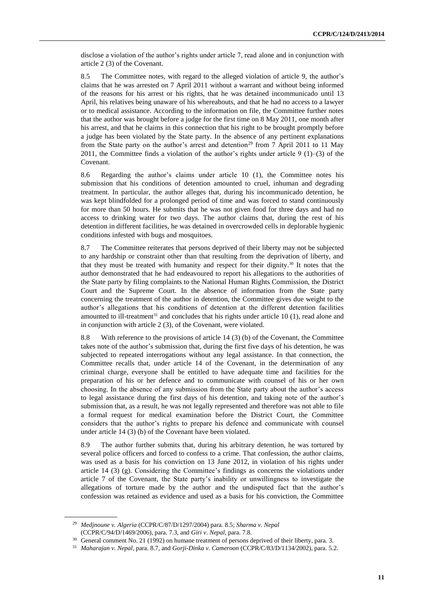disclose a violation of the author's rights under article 7, read alone and in conjunction with article 2 (3) of the Covenant.

8.5 The Committee notes, with regard to the alleged violation of article 9, the author's claims that he was arrested on 7 April 2011 without a warrant and without being informed of the reasons for his arrest or his rights, that he was detained incommunicado until 13 April, his relatives being unaware of his whereabouts, and that he had no access to a lawyer or to medical assistance. According to the information on file, the Committee further notes that the author was brought before a judge for the first time on 8 May 2011, one month after his arrest, and that he claims in this connection that his right to be brought promptly before a judge has been violated by the State party. In the absence of any pertinent explanations from the State party on the author's arrest and detention<sup>29</sup> from 7 April 2011 to 11 May 2011, the Committee finds a violation of the author's rights under article 9 (1)–(3) of the Covenant.

8.6 Regarding the author's claims under article 10 (1), the Committee notes his submission that his conditions of detention amounted to cruel, inhuman and degrading treatment. In particular, the author alleges that, during his incommunicado detention, he was kept blindfolded for a prolonged period of time and was forced to stand continuously for more than 50 hours. He submits that he was not given food for three days and had no access to drinking water for two days. The author claims that, during the rest of his detention in different facilities, he was detained in overcrowded cells in deplorable hygienic conditions infested with bugs and mosquitoes.

8.7 The Committee reiterates that persons deprived of their liberty may not be subjected to any hardship or constraint other than that resulting from the deprivation of liberty, and that they must be treated with humanity and respect for their dignity. <sup>30</sup> It notes that the author demonstrated that he had endeavoured to report his allegations to the authorities of the State party by filing complaints to the National Human Rights Commission, the District Court and the Supreme Court. In the absence of information from the State party concerning the treatment of the author in detention, the Committee gives due weight to the author's allegations that his conditions of detention at the different detention facilities amounted to ill-treatment<sup>31</sup> and concludes that his rights under article 10  $(1)$ , read alone and in conjunction with article 2 (3), of the Covenant, were violated.

8.8 With reference to the provisions of article 14 (3) (b) of the Covenant, the Committee takes note of the author's submission that, during the first five days of his detention, he was subjected to repeated interrogations without any legal assistance. In that connection, the Committee recalls that, under article 14 of the Covenant, in the determination of any criminal charge, everyone shall be entitled to have adequate time and facilities for the preparation of his or her defence and to communicate with counsel of his or her own choosing. In the absence of any submission from the State party about the author's access to legal assistance during the first days of his detention, and taking note of the author's submission that, as a result, he was not legally represented and therefore was not able to file a formal request for medical examination before the District Court, the Committee considers that the author's rights to prepare his defence and communicate with counsel under article 14 (3) (b) of the Covenant have been violated.

8.9 The author further submits that, during his arbitrary detention, he was tortured by several police officers and forced to confess to a crime. That confession, the author claims, was used as a basis for his conviction on 13 June 2012, in violation of his rights under article 14 (3) (g). Considering the Committee's findings as concerns the violations under article 7 of the Covenant, the State party's inability or unwillingness to investigate the allegations of torture made by the author and the undisputed fact that the author's confession was retained as evidence and used as a basis for his conviction, the Committee

<sup>29</sup> *Medjnoune v. Algeria* (CCPR/C/87/D/1297/2004) para. 8.5; *Sharma v. Nepal* (CCPR/C/94/D/1469/2006), para. 7.3, and *Giri v. Nepal*, para. 7.8.

<sup>&</sup>lt;sup>30</sup> General comment No. 21 (1992) on humane treatment of persons deprived of their liberty, para. 3.

<sup>31</sup> *Maharajan v. Nepal*, para. 8.7, and *Gorji-Dinka v. Cameroon* (CCPR/C/83/D/1134/2002), para. 5.2.